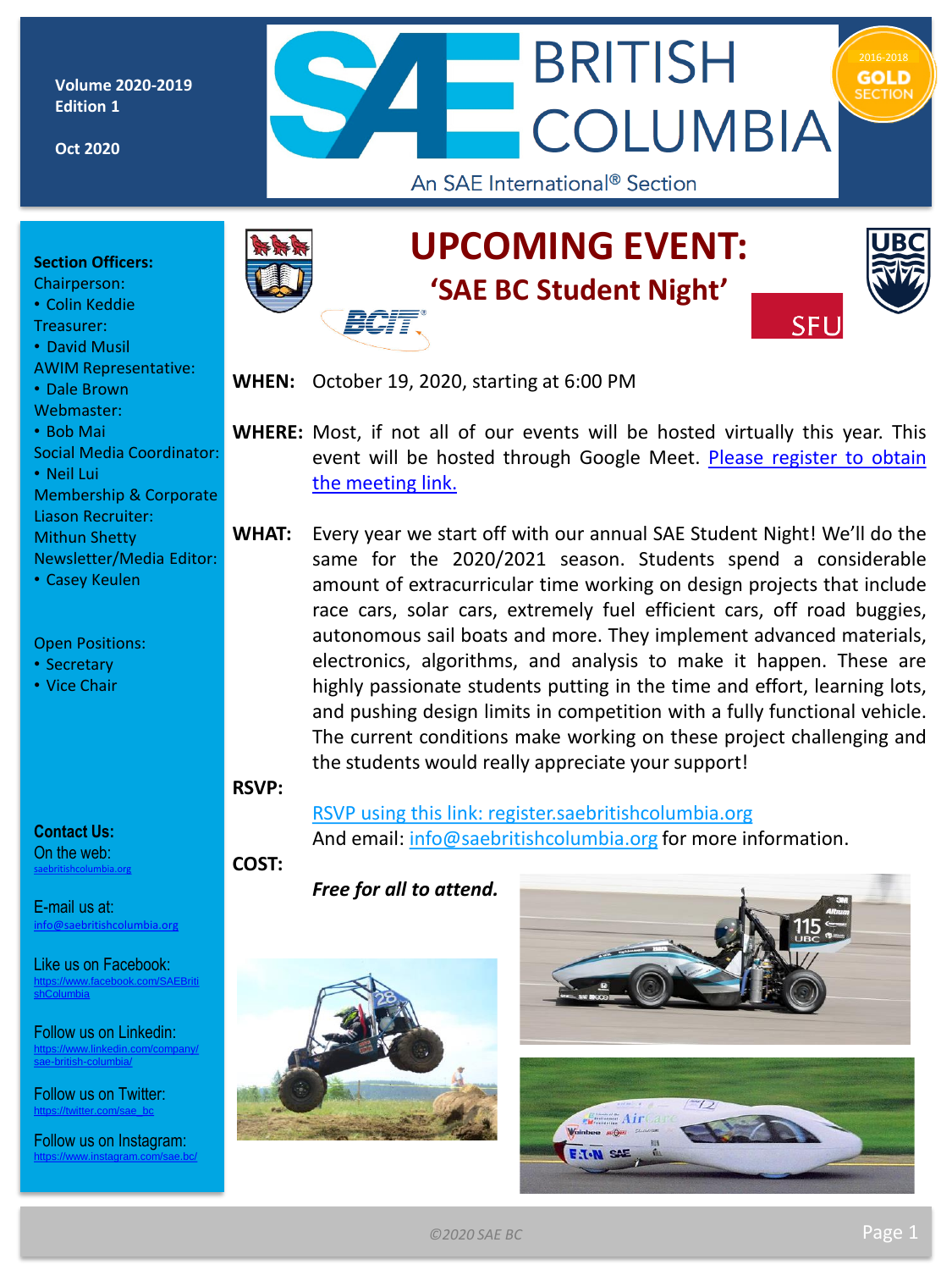**Volume 2020-2019 Edition 1**

**Oct 2020**



#### **Section Officers:**

Chairperson:

• Colin Keddie

Treasurer:

- David Musil
- AWIM Representative:

• Dale Brown

Webmaster:

• Bob Mai

Social Media Coordinator:

• Neil Lui

Membership & Corporate Liason Recruiter: Mithun Shetty

Newsletter/Media Editor:

• Casey Keulen

#### Open Positions:

- Secretary
- Vice Chair

# **UPCOMING EVENT: 'SAE BC Student Night'**



**SFL** 

**WHEN:** October 19, 2020, starting at 6:00 PM

**WHERE:** Most, if not all of our events will be hosted virtually this year. This event will be hosted through Google Meet. Please register to obtain the [meeting](http://register.saebritishcolumbia.org/) link.

**WHAT:** Every year we start off with our annual SAE Student Night! We'll do the same for the 2020/2021 season. Students spend a considerable amount of extracurricular time working on design projects that include race cars, solar cars, extremely fuel efficient cars, off road buggies, autonomous sail boats and more. They implement advanced materials, electronics, algorithms, and analysis to make it happen. These are highly passionate students putting in the time and effort, learning lots, and pushing design limits in competition with a fully functional vehicle. The current conditions make working on these project challenging and the students would really appreciate your support!

**RSVP:**

**Contact Us:** On the web: [saebritishcolumbia.org](http://www.britishcolumbia.sae.org) 

E-mail us at: [info@saebritishcolumbia.org](mailto:info@saebritishcolumbia.org)

Like us on Facebook: [https://www.facebook.com/SAEBriti](https://www.facebook.com/SAEBritishColumbia) shColumbia

Follow us on Linkedin: [https://www.linkedin.com/company/](https://www.linkedin.com/company/sae-british-columbia/) sae-british-columbia/

Follow us on Twitter: [https://twitter.com/sae\\_bc](https://twitter.com/sae_bc)

Follow us on Instagram: <https://www.instagram.com/sae.bc/>

RSVP using this link: [register.saebritishcolumbia.org](http://register.saebritishcolumbia.org/) And email: [info@saebritishcolumbia.org](mailto:info@saebritishcolumbia.org) for more information.

**COST:**

*Free for all to attend.*



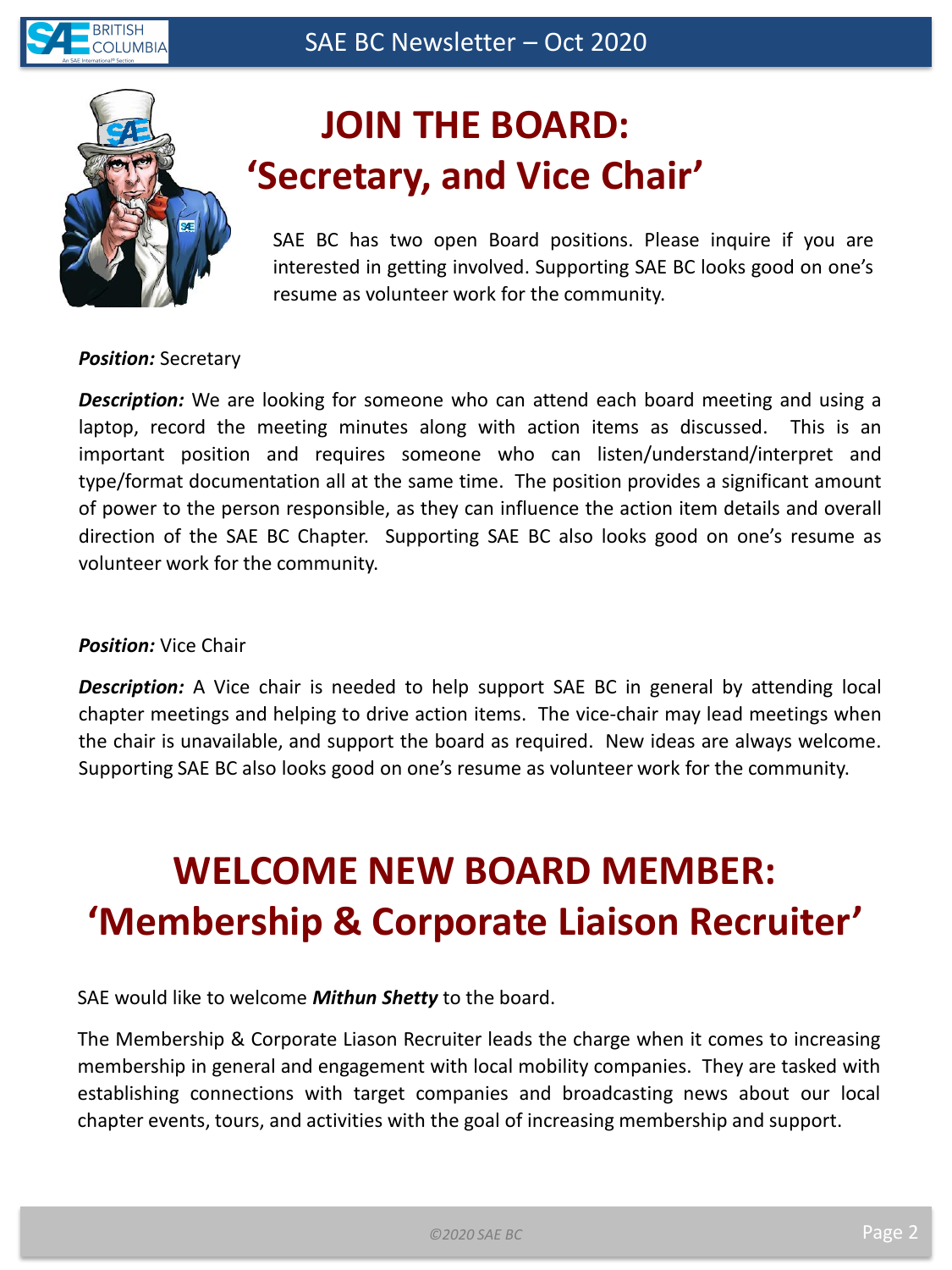



# **JOIN THE BOARD: 'Secretary, and Vice Chair'**

SAE BC has two open Board positions. Please inquire if you are interested in getting involved. Supporting SAE BC looks good on one's resume as volunteer work for the community.

#### *Position:* Secretary

*Description:* We are looking for someone who can attend each board meeting and using a laptop, record the meeting minutes along with action items as discussed. This is an important position and requires someone who can listen/understand/interpret and type/format documentation all at the same time. The position provides a significant amount of power to the person responsible, as they can influence the action item details and overall direction of the SAE BC Chapter. Supporting SAE BC also looks good on one's resume as volunteer work for the community.

### *Position:* Vice Chair

*Description:* A Vice chair is needed to help support SAE BC in general by attending local chapter meetings and helping to drive action items. The vice-chair may lead meetings when the chair is unavailable, and support the board as required. New ideas are always welcome. Supporting SAE BC also looks good on one's resume as volunteer work for the community.

# **WELCOME NEW BOARD MEMBER: 'Membership & Corporate Liaison Recruiter'**

SAE would like to welcome *Mithun Shetty* to the board.

The Membership & Corporate Liason Recruiter leads the charge when it comes to increasing membership in general and engagement with local mobility companies. They are tasked with establishing connections with target companies and broadcasting news about our local chapter events, tours, and activities with the goal of increasing membership and support.